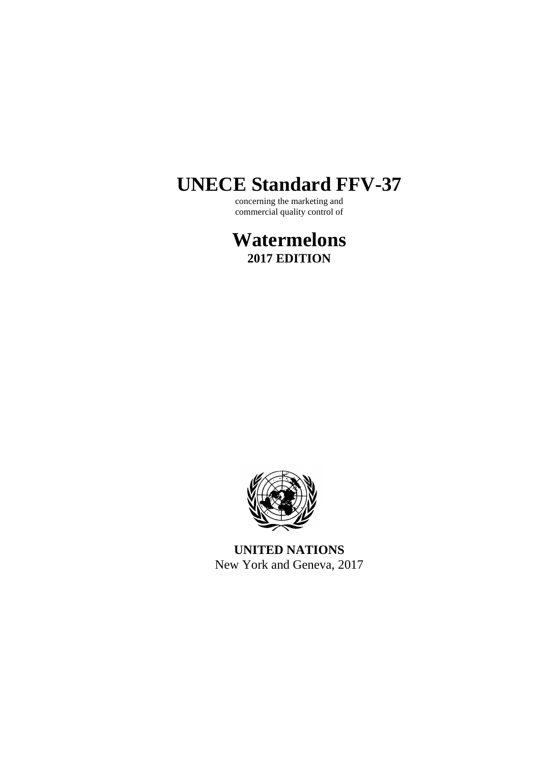# **UNECE Standard FFV-37**

concerning the marketing and commercial quality control of

**Watermelons 2017 EDITION**



**UNITED NATIONS** New York and Geneva, 2017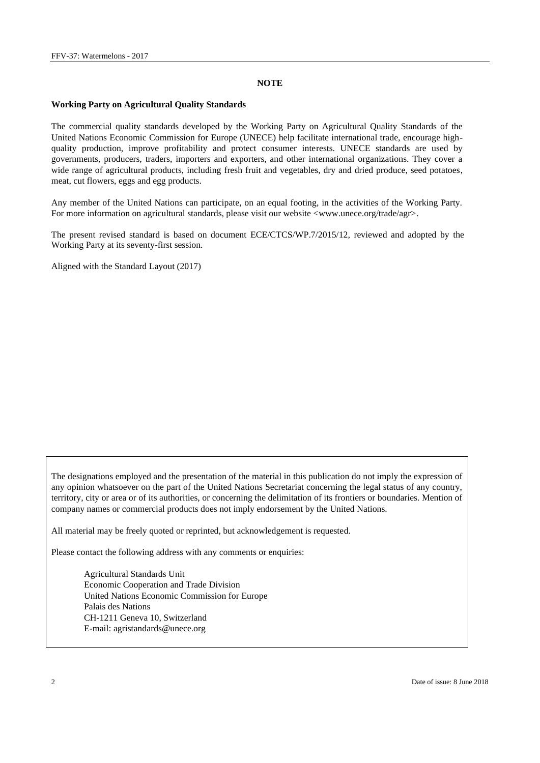#### **NOTE**

#### **Working Party on Agricultural Quality Standards**

The commercial quality standards developed by the Working Party on Agricultural Quality Standards of the United Nations Economic Commission for Europe (UNECE) help facilitate international trade, encourage highquality production, improve profitability and protect consumer interests. UNECE standards are used by governments, producers, traders, importers and exporters, and other international organizations. They cover a wide range of agricultural products, including fresh fruit and vegetables, dry and dried produce, seed potatoes, meat, cut flowers, eggs and egg products.

Any member of the United Nations can participate, on an equal footing, in the activities of the Working Party. For more information on agricultural standards, please visit our website  $\langle$ www.unece.org/trade/agr>.

The present revised standard is based on document ECE/CTCS/WP.7/2015/12, reviewed and adopted by the Working Party at its seventy-first session.

Aligned with the Standard Layout (2017)

The designations employed and the presentation of the material in this publication do not imply the expression of any opinion whatsoever on the part of the United Nations Secretariat concerning the legal status of any country, territory, city or area or of its authorities, or concerning the delimitation of its frontiers or boundaries. Mention of company names or commercial products does not imply endorsement by the United Nations.

All material may be freely quoted or reprinted, but acknowledgement is requested.

Please contact the following address with any comments or enquiries:

Agricultural Standards Unit Economic Cooperation and Trade Division United Nations Economic Commission for Europe Palais des Nations CH-1211 Geneva 10, Switzerland E-mail: [agristandards@unece.org](mailto:agristandards@unece.org)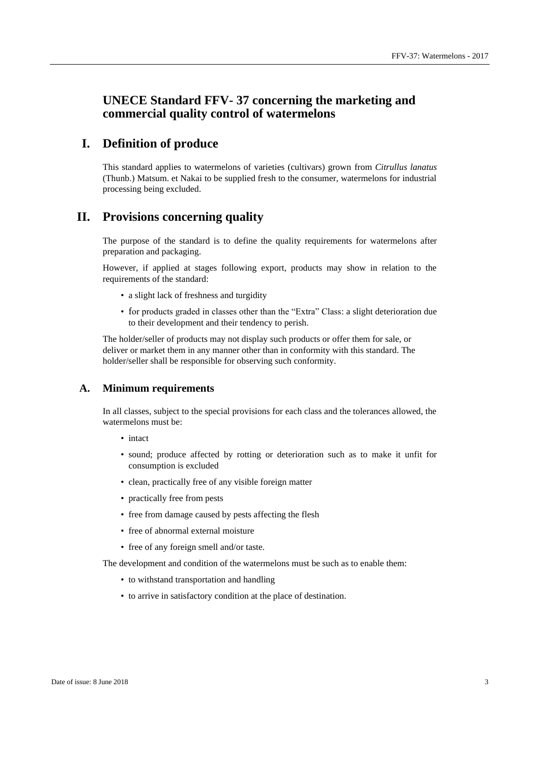# **UNECE Standard FFV- 37 concerning the marketing and commercial quality control of watermelons**

# **I. Definition of produce**

This standard applies to watermelons of varieties (cultivars) grown from *Citrullus lanatus*  (Thunb.) Matsum. et Nakai to be supplied fresh to the consumer, watermelons for industrial processing being excluded.

# **II. Provisions concerning quality**

The purpose of the standard is to define the quality requirements for watermelons after preparation and packaging.

However, if applied at stages following export, products may show in relation to the requirements of the standard:

- a slight lack of freshness and turgidity
- for products graded in classes other than the "Extra" Class: a slight deterioration due to their development and their tendency to perish.

The holder/seller of products may not display such products or offer them for sale, or deliver or market them in any manner other than in conformity with this standard. The holder/seller shall be responsible for observing such conformity.

## **A. Minimum requirements**

In all classes, subject to the special provisions for each class and the tolerances allowed, the watermelons must be:

- intact
- sound; produce affected by rotting or deterioration such as to make it unfit for consumption is excluded
- clean, practically free of any visible foreign matter
- practically free from pests
- free from damage caused by pests affecting the flesh
- free of abnormal external moisture
- free of any foreign smell and/or taste.

The development and condition of the watermelons must be such as to enable them:

- to withstand transportation and handling
- to arrive in satisfactory condition at the place of destination.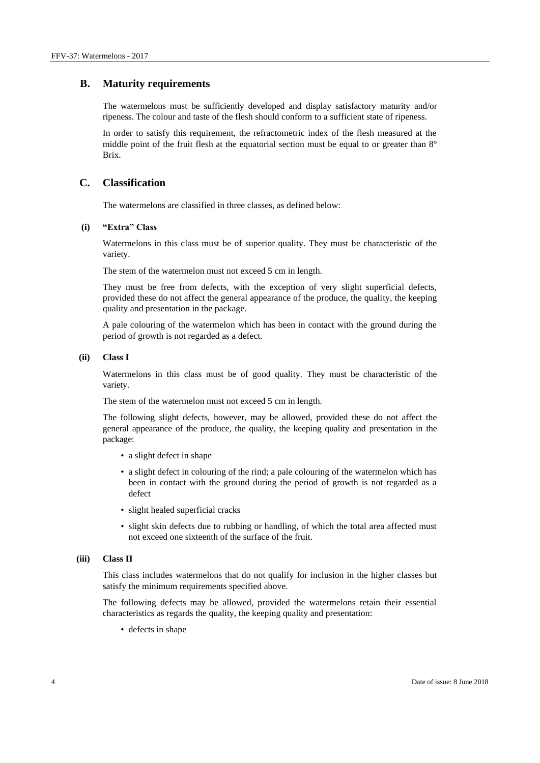## **B. Maturity requirements**

The watermelons must be sufficiently developed and display satisfactory maturity and/or ripeness. The colour and taste of the flesh should conform to a sufficient state of ripeness.

In order to satisfy this requirement, the refractometric index of the flesh measured at the middle point of the fruit flesh at the equatorial section must be equal to or greater than 8° Brix.

#### **C. Classification**

The watermelons are classified in three classes, as defined below:

#### **(i) "Extra" Class**

Watermelons in this class must be of superior quality. They must be characteristic of the variety.

The stem of the watermelon must not exceed 5 cm in length.

They must be free from defects, with the exception of very slight superficial defects, provided these do not affect the general appearance of the produce, the quality, the keeping quality and presentation in the package.

A pale colouring of the watermelon which has been in contact with the ground during the period of growth is not regarded as a defect.

#### **(ii) Class I**

Watermelons in this class must be of good quality. They must be characteristic of the variety.

The stem of the watermelon must not exceed 5 cm in length.

The following slight defects, however, may be allowed, provided these do not affect the general appearance of the produce, the quality, the keeping quality and presentation in the package:

- a slight defect in shape
- a slight defect in colouring of the rind; a pale colouring of the watermelon which has been in contact with the ground during the period of growth is not regarded as a defect
- slight healed superficial cracks
- slight skin defects due to rubbing or handling, of which the total area affected must not exceed one sixteenth of the surface of the fruit.

#### **(iii) Class II**

This class includes watermelons that do not qualify for inclusion in the higher classes but satisfy the minimum requirements specified above.

The following defects may be allowed, provided the watermelons retain their essential characteristics as regards the quality, the keeping quality and presentation:

• defects in shape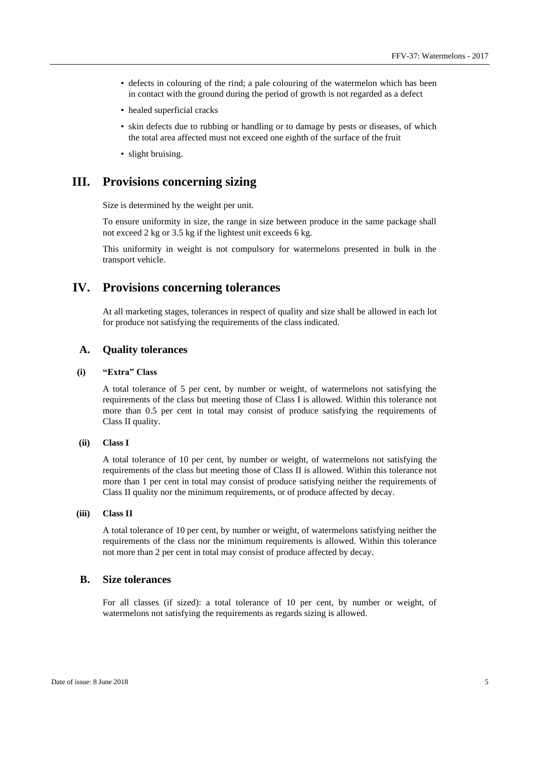- defects in colouring of the rind; a pale colouring of the watermelon which has been in contact with the ground during the period of growth is not regarded as a defect
- healed superficial cracks
- skin defects due to rubbing or handling or to damage by pests or diseases, of which the total area affected must not exceed one eighth of the surface of the fruit
- slight bruising.

## **III. Provisions concerning sizing**

Size is determined by the weight per unit.

To ensure uniformity in size, the range in size between produce in the same package shall not exceed 2 kg or 3.5 kg if the lightest unit exceeds 6 kg.

This uniformity in weight is not compulsory for watermelons presented in bulk in the transport vehicle.

## **IV. Provisions concerning tolerances**

At all marketing stages, tolerances in respect of quality and size shall be allowed in each lot for produce not satisfying the requirements of the class indicated.

#### **A. Quality tolerances**

#### **(i) "Extra" Class**

A total tolerance of 5 per cent, by number or weight, of watermelons not satisfying the requirements of the class but meeting those of Class I is allowed. Within this tolerance not more than 0.5 per cent in total may consist of produce satisfying the requirements of Class II quality.

#### **(ii) Class I**

A total tolerance of 10 per cent, by number or weight, of watermelons not satisfying the requirements of the class but meeting those of Class II is allowed. Within this tolerance not more than 1 per cent in total may consist of produce satisfying neither the requirements of Class II quality nor the minimum requirements, or of produce affected by decay.

#### **(iii) Class II**

A total tolerance of 10 per cent, by number or weight, of watermelons satisfying neither the requirements of the class nor the minimum requirements is allowed. Within this tolerance not more than 2 per cent in total may consist of produce affected by decay.

## **B. Size tolerances**

For all classes (if sized): a total tolerance of 10 per cent, by number or weight, of watermelons not satisfying the requirements as regards sizing is allowed.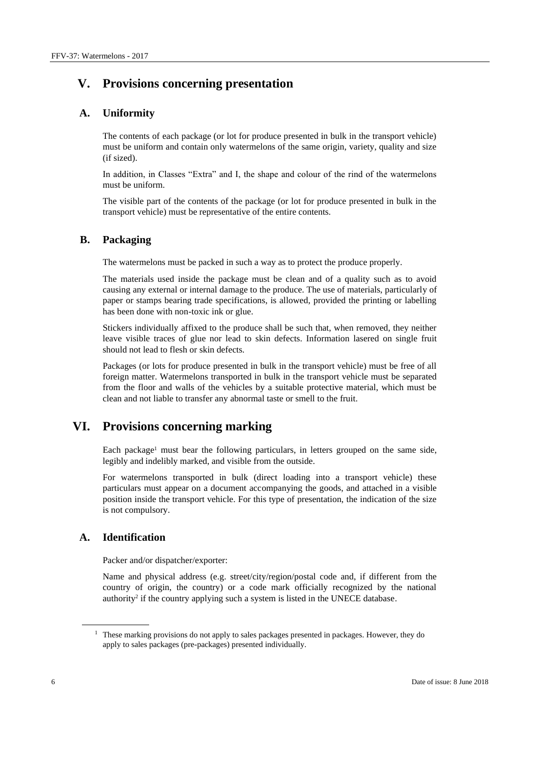# **V. Provisions concerning presentation**

## **A. Uniformity**

The contents of each package (or lot for produce presented in bulk in the transport vehicle) must be uniform and contain only watermelons of the same origin, variety, quality and size (if sized).

In addition, in Classes "Extra" and I, the shape and colour of the rind of the watermelons must be uniform.

The visible part of the contents of the package (or lot for produce presented in bulk in the transport vehicle) must be representative of the entire contents.

#### **B. Packaging**

The watermelons must be packed in such a way as to protect the produce properly.

The materials used inside the package must be clean and of a quality such as to avoid causing any external or internal damage to the produce. The use of materials, particularly of paper or stamps bearing trade specifications, is allowed, provided the printing or labelling has been done with non-toxic ink or glue.

Stickers individually affixed to the produce shall be such that, when removed, they neither leave visible traces of glue nor lead to skin defects. Information lasered on single fruit should not lead to flesh or skin defects.

Packages (or lots for produce presented in bulk in the transport vehicle) must be free of all foreign matter. Watermelons transported in bulk in the transport vehicle must be separated from the floor and walls of the vehicles by a suitable protective material, which must be clean and not liable to transfer any abnormal taste or smell to the fruit.

# **VI. Provisions concerning marking**

Each package<sup>1</sup> must bear the following particulars, in letters grouped on the same side, legibly and indelibly marked, and visible from the outside.

For watermelons transported in bulk (direct loading into a transport vehicle) these particulars must appear on a document accompanying the goods, and attached in a visible position inside the transport vehicle. For this type of presentation, the indication of the size is not compulsory.

## **A. Identification**

Packer and/or dispatcher/exporter:

Name and physical address (e.g. street/city/region/postal code and, if different from the country of origin, the country) or a code mark officially recognized by the national authority<sup>2</sup> if the country applying such a system is listed in the UNECE database.

 $1$  These marking provisions do not apply to sales packages presented in packages. However, they do apply to sales packages (pre-packages) presented individually.